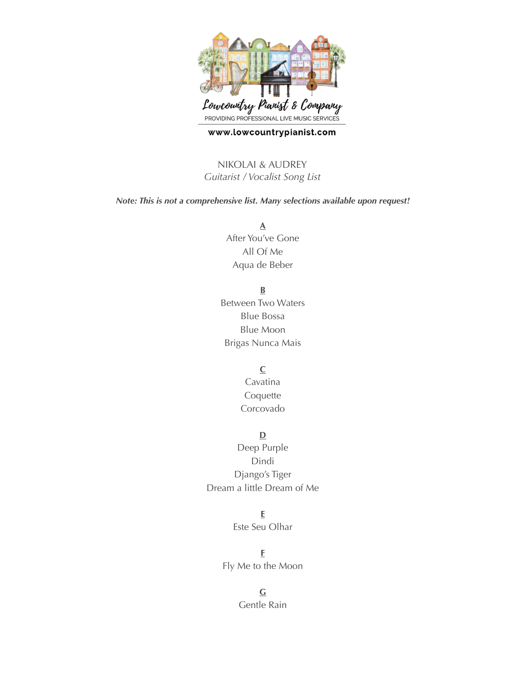

#### www.lowcountrypianist.com

NIKOLAI & AUDREY *Guitarist / Vocalist Song List*

*Note: This is not a comprehensive list. Many selections available upon request!* 

**A** After You've Gone All Of Me Aqua de Beber

**B**

Between Two Waters Blue Bossa Blue Moon Brigas Nunca Mais

#### **C**

Cavatina Coquette Corcovado

### **D**

Deep Purple Dindi Django's Tiger Dream a little Dream of Me

## **E**

Este Seu Olhar

**F** Fly Me to the Moon

> **G** Gentle Rain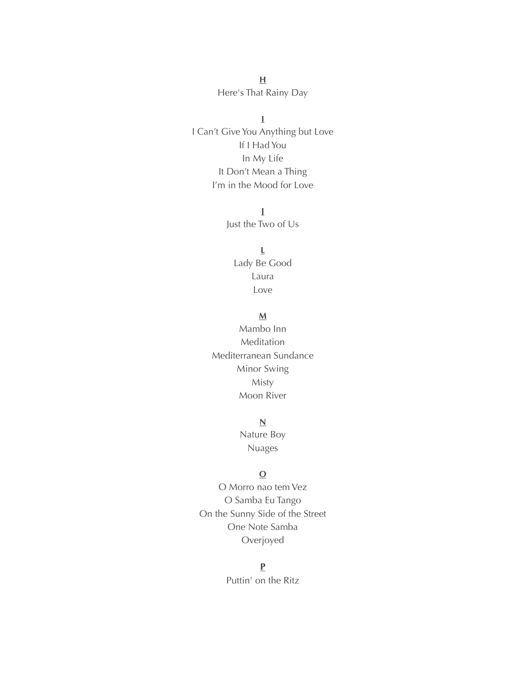$\mathbf H$ Here's That Rainy Day

 $\bar{L}$ I Can't Give You Anything but Love If I Had You In My Life It Don't Mean a Thing I'm in the Mood for Love

> $\mathbf{I}$ Just the Two of Us

 $\underline{\mathsf{L}}$ Lady Be Good Laura Love

## $\underline{\mathbf{M}}$

Mambo Inn Meditation Mediterranean Sundance Minor Swing Misty Moon River

 $\underline{\mathsf{N}}$ 

Nature Boy **Nuages** 

## $\Omega$

O Morro nao tem Vez O Samba Eu Tango On the Sunny Side of the Street One Note Samba Overjoyed

## $\mathbf{P}$

Puttin' on the Ritz